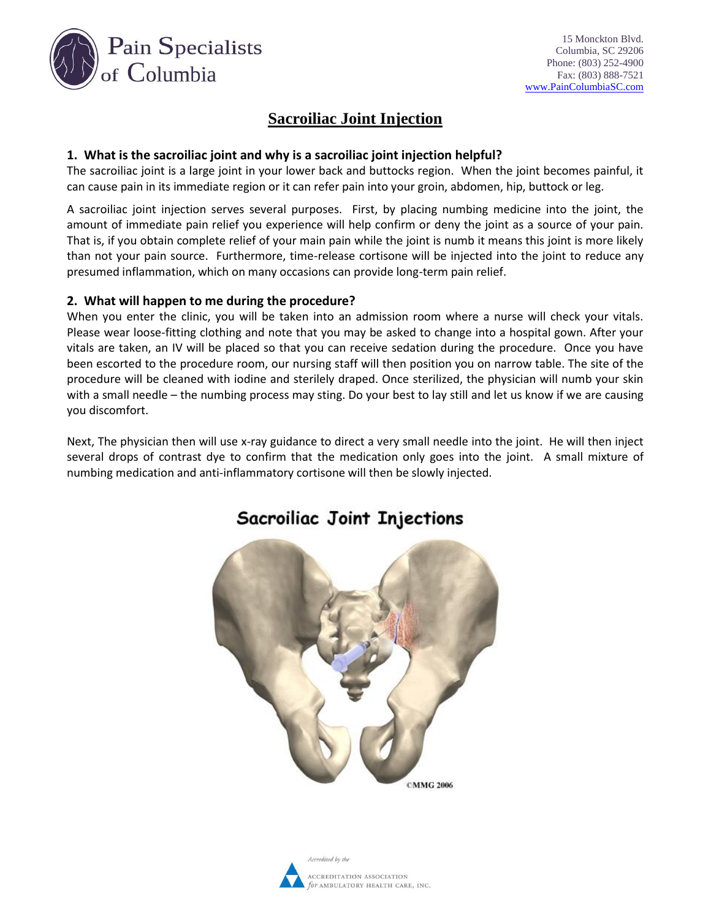

## **Sacroiliac Joint Injection**

### **1. What is the sacroiliac joint and why is a sacroiliac joint injection helpful?**

The sacroiliac joint is a large joint in your lower back and buttocks region. When the joint becomes painful, it can cause pain in its immediate region or it can refer pain into your groin, abdomen, hip, buttock or leg.

A sacroiliac joint injection serves several purposes. First, by placing numbing medicine into the joint, the amount of immediate pain relief you experience will help confirm or deny the joint as a source of your pain. That is, if you obtain complete relief of your main pain while the joint is numb it means this joint is more likely than not your pain source. Furthermore, time-release cortisone will be injected into the joint to reduce any presumed inflammation, which on many occasions can provide long-term pain relief.

### **2. What will happen to me during the procedure?**

When you enter the clinic, you will be taken into an admission room where a nurse will check your vitals. Please wear loose-fitting clothing and note that you may be asked to change into a hospital gown. After your vitals are taken, an IV will be placed so that you can receive sedation during the procedure. Once you have been escorted to the procedure room, our nursing staff will then position you on narrow table. The site of the procedure will be cleaned with iodine and sterilely draped. Once sterilized, the physician will numb your skin with a small needle – the numbing process may sting. Do your best to lay still and let us know if we are causing you discomfort.

Next, The physician then will use x-ray guidance to direct a very small needle into the joint. He will then inject several drops of contrast dye to confirm that the medication only goes into the joint. A small mixture of numbing medication and anti-inflammatory cortisone will then be slowly injected.



# **Sacroiliac Joint Injections**